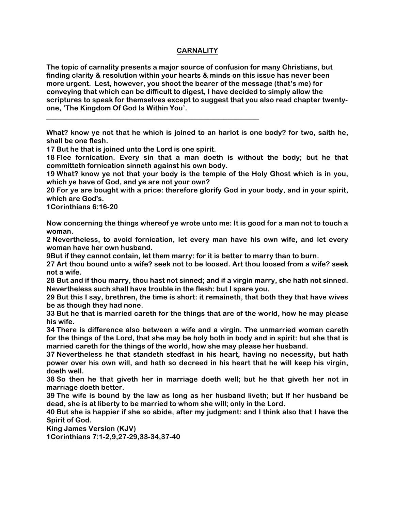## **CARNALITY**

**The topic of carnality presents a major source of confusion for many Christians, but finding clarity & resolution within your hearts & minds on this issue has never been more urgent. Lest, however, you shoot the bearer of the message (that's me) for conveying that which can be difficult to digest, I have decided to simply allow the scriptures to speak for themselves except to suggest that you also read chapter twentyone, 'The Kingdom Of God Is Within You'.** 

**\_\_\_\_\_\_\_\_\_\_\_\_\_\_\_\_\_\_\_\_\_\_\_\_\_\_\_\_\_\_\_\_\_\_\_\_\_\_\_\_\_\_\_\_\_\_\_\_\_\_\_\_\_\_\_\_\_\_\_\_**

**What? know ye not that he which is joined to an harlot is one body? for two, saith he, shall be one flesh.**

**17 But he that is joined unto the Lord is one spirit.**

**18 Flee fornication. Every sin that a man doeth is without the body; but he that committeth fornication sinneth against his own body.**

**19 What? know ye not that your body is the temple of the Holy Ghost which is in you, which ye have of God, and ye are not your own?**

**20 For ye are bought with a price: therefore glorify God in your body, and in your spirit, which are God's.**

**1Corinthians 6:16-20**

**Now concerning the things whereof ye wrote unto me: It is good for a man not to touch a woman.**

**2 Nevertheless, to avoid fornication, let every man have his own wife, and let every woman have her own husband.**

**9But if they cannot contain, let them marry: for it is better to marry than to burn.**

**27 Art thou bound unto a wife? seek not to be loosed. Art thou loosed from a wife? seek not a wife.**

**28 But and if thou marry, thou hast not sinned; and if a virgin marry, she hath not sinned. Nevertheless such shall have trouble in the flesh: but I spare you.**

**29 But this I say, brethren, the time is short: it remaineth, that both they that have wives be as though they had none.**

**33 But he that is married careth for the things that are of the world, how he may please his wife.**

**34 There is difference also between a wife and a virgin. The unmarried woman careth for the things of the Lord, that she may be holy both in body and in spirit: but she that is married careth for the things of the world, how she may please her husband.**

**37 Nevertheless he that standeth stedfast in his heart, having no necessity, but hath power over his own will, and hath so decreed in his heart that he will keep his virgin, doeth well.**

**38 So then he that giveth her in marriage doeth well; but he that giveth her not in marriage doeth better.**

**39 The wife is bound by the law as long as her husband liveth; but if her husband be dead, she is at liberty to be married to whom she will; only in the Lord.**

**40 But she is happier if she so abide, after my judgment: and I think also that I have the Spirit of God.**

**King James Version (KJV)**

**1Corinthians 7:1-2,9,27-29,33-34,37-40**